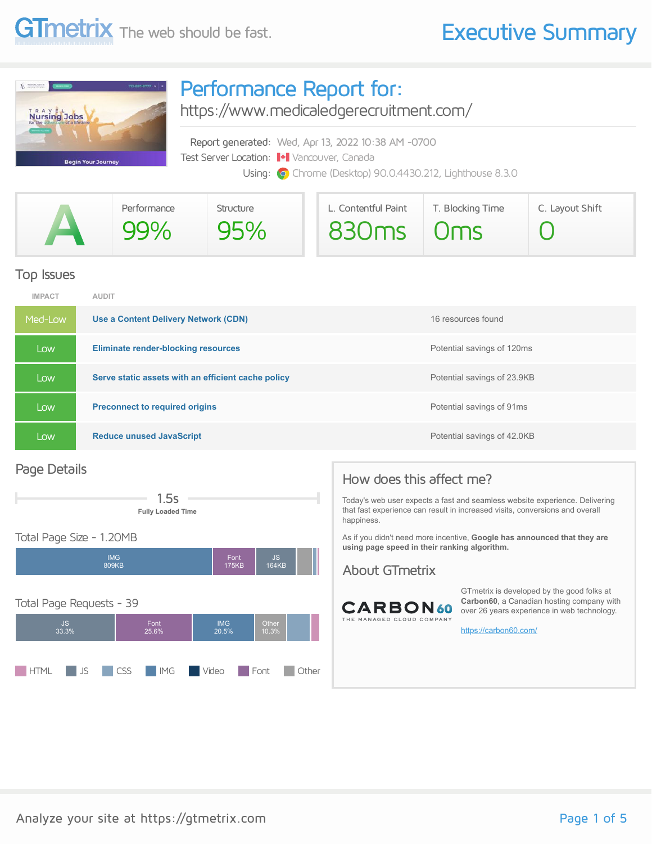

### Performance Report for:

<https://www.medicaledgerecruitment.com/>

Report generated: Wed, Apr 13, 2022 10:38 AM -0700 Test Server Location: Vancouver, Canada Using: **O** Chrome (Desktop) 90.0.4430.212, Lighthouse 8.3.0

| Performance | Structure | L. Contentful Paint | T. Blocking Time | C. Layout Shift |  |  |
|-------------|-----------|---------------------|------------------|-----------------|--|--|
| 99%         | 95%       | 830ms 0ms           |                  |                 |  |  |

#### Top Issues

| <b>IMPACT</b> | <b>AUDIT</b>                                       |                             |
|---------------|----------------------------------------------------|-----------------------------|
| Med-Low       | Use a Content Delivery Network (CDN)               | 16 resources found          |
| Low           | <b>Eliminate render-blocking resources</b>         | Potential savings of 120ms  |
| Low           | Serve static assets with an efficient cache policy | Potential savings of 23.9KB |
| LOW.          | <b>Preconnect to required origins</b>              | Potential savings of 91ms   |
| Low           | <b>Reduce unused JavaScript</b>                    | Potential savings of 42.0KB |

#### Page Details



#### Total Page Size - 1.20MB



### How does this affect me?

Today's web user expects a fast and seamless website experience. Delivering that fast experience can result in increased visits, conversions and overall happiness.

As if you didn't need more incentive, **Google has announced that they are using page speed in their ranking algorithm.**

#### About GTmetrix



GTmetrix is developed by the good folks at **Carbon60**, a Canadian hosting company with over 26 years experience in web technology.

<https://carbon60.com/>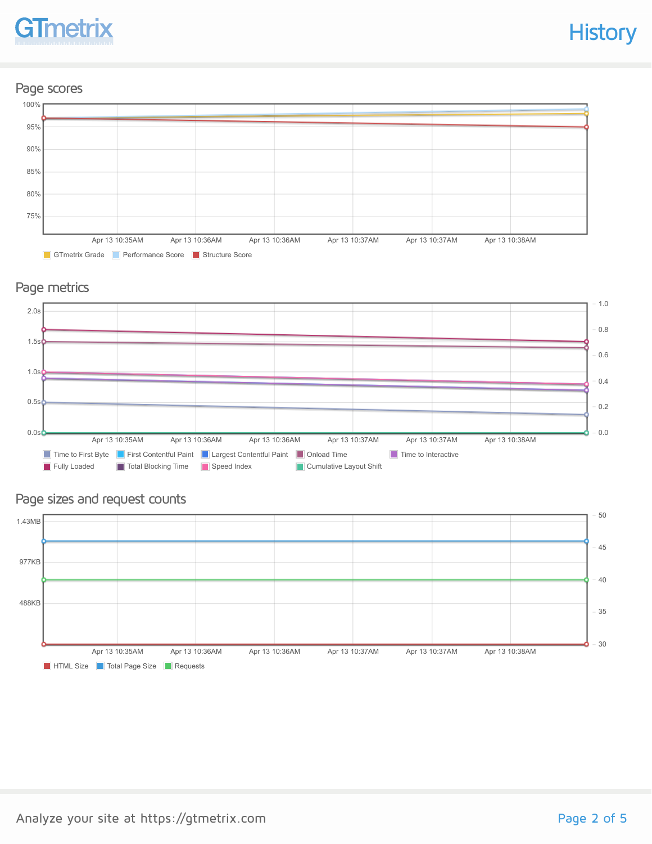#### Page scores



#### Page metrics



#### Page sizes and request counts

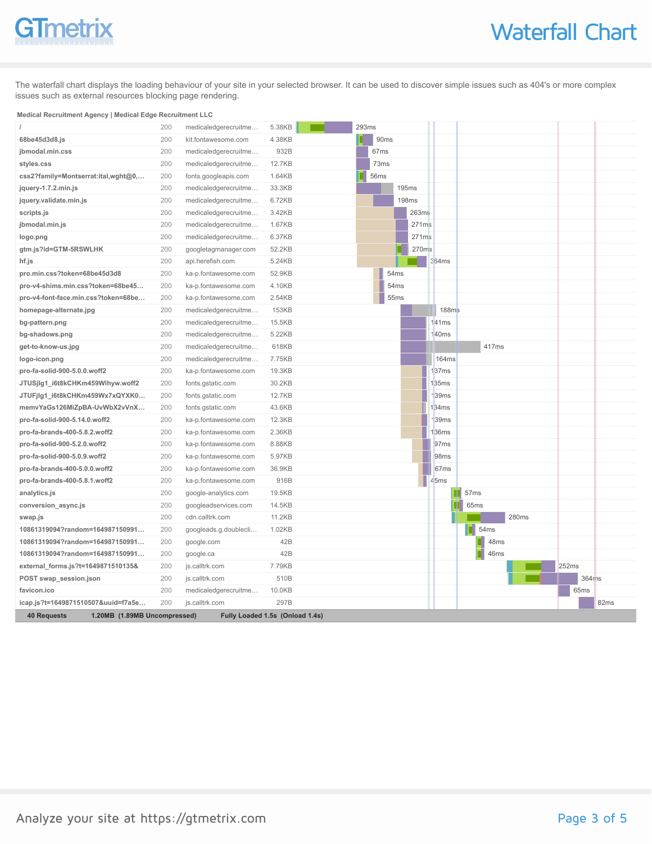The waterfall chart displays the loading behaviour of your site in your selected browser. It can be used to discover simple issues such as 404's or more complex issues such as external resources blocking page rendering.

#### **Medical Recruitment Agency | Medical Edge Recruitment LLC**

|                                                    | 200 | medicaledgerecruitme            | 5.38KB       | 293ms |                  |      |              |       |                   |                  |       |       |       |                  |                  |  |
|----------------------------------------------------|-----|---------------------------------|--------------|-------|------------------|------|--------------|-------|-------------------|------------------|-------|-------|-------|------------------|------------------|--|
| 68be45d3d8.js                                      | 200 | kit.fontawesome.com             | 4.38KB       |       | 90ms             |      |              |       |                   |                  |       |       |       |                  |                  |  |
| jbmodal.min.css                                    | 200 | medicaledgerecruitme            | 932B         |       | 67 <sub>ms</sub> |      |              |       |                   |                  |       |       |       |                  |                  |  |
| styles.css                                         | 200 | medicaledgerecruitme            | 12.7KB       |       | 73ms             |      |              |       |                   |                  |       |       |       |                  |                  |  |
| css2?family=Montserrat:ital,wght@0,                | 200 | fonts.googleapis.com            | 1.64KB       |       | 56ms             |      |              |       |                   |                  |       |       |       |                  |                  |  |
| jquery-1.7.2.min.js                                | 200 | medicaledgerecruitme            | 33.3KB       |       |                  |      | 195ms        |       |                   |                  |       |       |       |                  |                  |  |
| jquery.validate.min.js                             | 200 | medicaledgerecruitme            | 6.72KB       |       |                  |      | <b>198ms</b> |       |                   |                  |       |       |       |                  |                  |  |
| scripts.js                                         | 200 | medicaledgerecruitme            | 3.42KB       |       |                  |      |              | 263ms |                   |                  |       |       |       |                  |                  |  |
| jbmodal.min.js                                     | 200 | medicaledgerecruitme            | 1.67KB       |       |                  |      |              | 271ms |                   |                  |       |       |       |                  |                  |  |
| logo.png                                           | 200 | medicaledgerecruitme            | 6.37KB       |       |                  |      |              | 271ms |                   |                  |       |       |       |                  |                  |  |
| gtm.js?id=GTM-5RSWLHK                              | 200 | googletagmanager.com            | 52.2KB       |       |                  |      |              | 270ms |                   |                  |       |       |       |                  |                  |  |
| hf.js                                              | 200 | api.herefish.com                | 5.24KB       |       |                  |      | ×.           |       | 364ms             |                  |       |       |       |                  |                  |  |
| pro.min.css?token=68be45d3d8                       | 200 | ka-p.fontawesome.com            | 52.9KB       |       |                  | 54ms |              |       |                   |                  |       |       |       |                  |                  |  |
| pro-v4-shims.min.css?token=68be45                  | 200 | ka-p.fontawesome.com            | 4.10KB       |       |                  | 54ms |              |       |                   |                  |       |       |       |                  |                  |  |
| pro-v4-font-face.min.css?token=68be                | 200 | ka-p.fontawesome.com            | 2.54KB       |       |                  | 55ms |              |       |                   |                  |       |       |       |                  |                  |  |
| homepage-alternate.jpg                             | 200 | medicaledgerecruitme            | <b>153KB</b> |       |                  |      |              |       | 188 <sub>ms</sub> |                  |       |       |       |                  |                  |  |
| bg-pattern.png                                     | 200 | medicaledgerecruitme            | 15.5KB       |       |                  |      |              |       | 41ms              |                  |       |       |       |                  |                  |  |
| bg-shadows.png                                     | 200 | medicaledgerecruitme            | 5.22KB       |       |                  |      |              |       | 40 <sub>ms</sub>  |                  |       |       |       |                  |                  |  |
| get-to-know-us.jpg                                 | 200 | medicaledgerecruitme            | 618KB        |       |                  |      |              |       |                   |                  | 417ms |       |       |                  |                  |  |
| logo-icon.png                                      | 200 | medicaledgerecruitme            | 7.75KB       |       |                  |      |              |       | 164ms             |                  |       |       |       |                  |                  |  |
| pro-fa-solid-900-5.0.0.woff2                       | 200 | ka-p.fontawesome.com            | 19.3KB       |       |                  |      |              |       | 37 <sub>ms</sub>  |                  |       |       |       |                  |                  |  |
| JTUSjIg1_i6t8kCHKm459Wlhyw.woff2                   | 200 | fonts.gstatic.com               | 30.2KB       |       |                  |      |              |       | 135ms             |                  |       |       |       |                  |                  |  |
| JTUFjIg1_i6t8kCHKm459Wx7xQYXK0                     | 200 | fonts.gstatic.com               | 12.7KB       |       |                  |      |              |       | 39ms              |                  |       |       |       |                  |                  |  |
| memvYaGs126MiZpBA-UvWbX2vVnX                       | 200 | fonts.gstatic.com               | 43.6KB       |       |                  |      |              |       | 134ms             |                  |       |       |       |                  |                  |  |
| pro-fa-solid-900-5.14.0.woff2                      | 200 | ka-p.fontawesome.com            | 12.3KB       |       |                  |      |              |       | 39 <sub>ms</sub>  |                  |       |       |       |                  |                  |  |
| pro-fa-brands-400-5.8.2.woff2                      | 200 | ka-p.fontawesome.com            | 2.36KB       |       |                  |      |              |       | 36ms              |                  |       |       |       |                  |                  |  |
| pro-fa-solid-900-5.2.0.woff2                       | 200 | ka-p.fontawesome.com            | 8.88KB       |       |                  |      |              |       | 97 <sub>ms</sub>  |                  |       |       |       |                  |                  |  |
| pro-fa-solid-900-5.0.9.woff2                       | 200 | ka-p.fontawesome.com            | 5.97KB       |       |                  |      |              |       | 98 <sub>ms</sub>  |                  |       |       |       |                  |                  |  |
| pro-fa-brands-400-5.0.0.woff2                      | 200 | ka-p.fontawesome.com            | 36.9KB       |       |                  |      |              |       | 67ms              |                  |       |       |       |                  |                  |  |
| pro-fa-brands-400-5.8.1.woff2                      | 200 | ka-p.fontawesome.com            | 916B         |       |                  |      |              |       | 45ms              |                  |       |       |       |                  |                  |  |
| analytics.js                                       | 200 | google-analytics.com            | 19.5KB       |       |                  |      |              |       |                   | 57 <sub>ms</sub> |       |       |       |                  |                  |  |
| conversion_async.js                                | 200 | googleadservices.com            | 14.5KB       |       |                  |      |              |       |                   | 65ms             |       |       |       |                  |                  |  |
| swap.js                                            | 200 | cdn.calltrk.com                 | 11.2KB       |       |                  |      |              |       |                   |                  |       | 280ms |       |                  |                  |  |
| 10861319094?random=164987150991                    | 200 | googleads.g.doublecli           | 1.02KB       |       |                  |      |              |       |                   | П                | 54ms  |       |       |                  |                  |  |
| 10861319094?random=164987150991                    | 200 | google.com                      | 42B          |       |                  |      |              |       |                   |                  | 48ms  |       |       |                  |                  |  |
| 10861319094?random=164987150991                    | 200 | google.ca                       | 42B          |       |                  |      |              |       |                   |                  | 46ms  |       |       |                  |                  |  |
| external_forms.js?t=1649871510135&                 | 200 | js.calltrk.com                  | 7.79KB       |       |                  |      |              |       |                   |                  |       |       | 252ms |                  |                  |  |
| POST swap_session.json                             | 200 | js.calltrk.com                  | 510B         |       |                  |      |              |       |                   |                  |       |       |       | 364ms            |                  |  |
| favicon.ico                                        | 200 | medicaledgerecruitme            | 10.0KB       |       |                  |      |              |       |                   |                  |       |       |       | 65 <sub>ms</sub> |                  |  |
| icap.js?t=1649871510507&uuid=f7a5e                 | 200 | js.calltrk.com                  | 297B         |       |                  |      |              |       |                   |                  |       |       |       |                  | 82 <sub>ms</sub> |  |
| 1.20MB (1.89MB Uncompressed)<br><b>40 Requests</b> |     | Fully Loaded 1.5s (Onload 1.4s) |              |       |                  |      |              |       |                   |                  |       |       |       |                  |                  |  |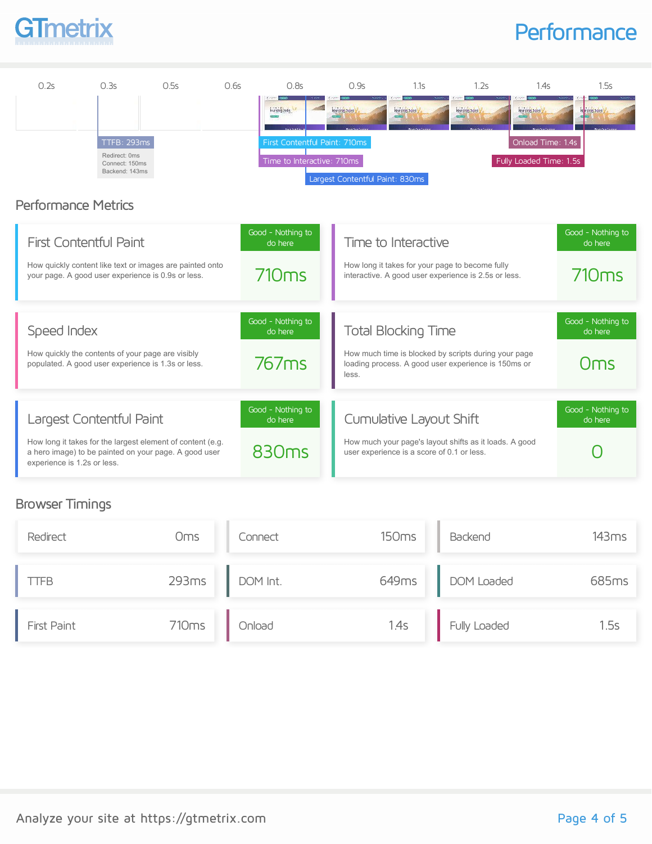### **Performance**



#### Browser Timings

| Redirect    | <b>Oms</b>        | Connect  | 150 <sub>ms</sub> | Backend      | 143ms |
|-------------|-------------------|----------|-------------------|--------------|-------|
| TFB         | 293ms             | DOM Int. | 649ms             | DOM Loaded   | 685ms |
| First Paint | 710 <sub>ms</sub> | Onload   | 1.4s              | Fully Loaded | 1.5s  |